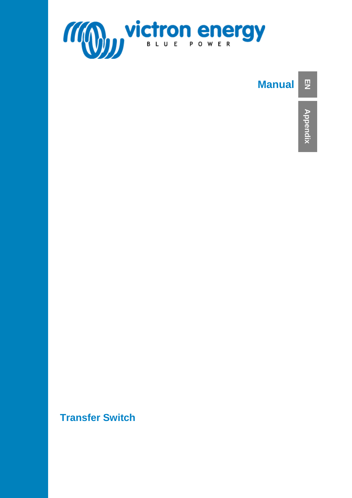

#### **Manual EN**

**Transfer Switch**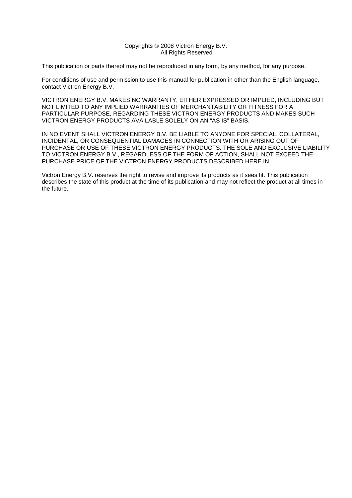#### Copyrights © 2008 Victron Energy B.V. All Rights Reserved

This publication or parts thereof may not be reproduced in any form, by any method, for any purpose.

For conditions of use and permission to use this manual for publication in other than the English language, contact Victron Energy B.V.

VICTRON ENERGY B.V. MAKES NO WARRANTY, EITHER EXPRESSED OR IMPLIED, INCLUDING BUT NOT LIMITED TO ANY IMPLIED WARRANTIES OF MERCHANTABILITY OR FITNESS FOR A PARTICULAR PURPOSE, REGARDING THESE VICTRON ENERGY PRODUCTS AND MAKES SUCH VICTRON ENERGY PRODUCTS AVAILABLE SOLELY ON AN "AS IS" BASIS.

IN NO EVENT SHALL VICTRON ENERGY B.V. BE LIABLE TO ANYONE FOR SPECIAL, COLLATERAL, INCIDENTAL, OR CONSEQUENTIAL DAMAGES IN CONNECTION WITH OR ARISING OUT OF PURCHASE OR USE OF THESE VICTRON ENERGY PRODUCTS. THE SOLE AND EXCLUSIVE LIABILITY TO VICTRON ENERGY B.V., REGARDLESS OF THE FORM OF ACTION, SHALL NOT EXCEED THE PURCHASE PRICE OF THE VICTRON ENERGY PRODUCTS DESCRIBED HERE IN.

Victron Energy B.V. reserves the right to revise and improve its products as it sees fit. This publication describes the state of this product at the time of its publication and may not reflect the product at all times in the future.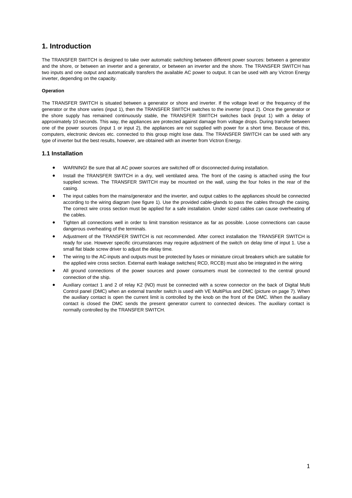### **1. Introduction**

The TRANSFER SWITCH is designed to take over automatic switching between different power sources: between a generator and the shore, or between an inverter and a generator, or between an inverter and the shore. The TRANSFER SWITCH has two inputs and one output and automatically transfers the available AC power to output. It can be used with any Victron Energy inverter, depending on the capacity.

#### **Operation**

The TRANSFER SWITCH is situated between a generator or shore and inverter. If the voltage level or the frequency of the generator or the shore varies (input 1), then the TRANSFER SWITCH switches to the inverter (input 2). Once the generator or the shore supply has remained continuously stable, the TRANSFER SWITCH switches back (input 1) with a delay of approximately 10 seconds. This way, the appliances are protected against damage from voltage drops. During transfer between one of the power sources (input 1 or input 2), the appliances are not supplied with power for a short time. Because of this, computers, electronic devices etc. connected to this group might lose data. The TRANSFER SWITCH can be used with any type of inverter but the best results, however, are obtained with an inverter from Victron Energy.

#### **1.1 Installation**

- WARNING! Be sure that all AC power sources are switched off or disconnected during installation.
- Install the TRANSFER SWITCH in a dry, well ventilated area. The front of the casing is attached using the four supplied screws. The TRANSFER SWITCH may be mounted on the wall, using the four holes in the rear of the casing.
- The input cables from the mains/generator and the inverter, and output cables to the appliances should be connected according to the wiring diagram (see figure 1). Use the provided cable-glands to pass the cables through the casing. The correct wire cross section must be applied for a safe installation. Under sized cables can cause overheating of the cables.
- Tighten all connections well in order to limit transition resistance as far as possible. Loose connections can cause dangerous overheating of the terminals.
- Adjustment of the TRANSFER SWITCH is not recommended. After correct installation the TRANSFER SWITCH is ready for use. However specific circumstances may require adjustment of the switch on delay time of input 1. Use a small flat blade screw driver to adjust the delay time.
- The wiring to the AC-inputs and outputs must be protected by fuses or miniature circuit breakers which are suitable for the applied wire cross section. External earth leakage switches( RCD, RCCB) must also be integrated in the wiring
- All ground connections of the power sources and power consumers must be connected to the central ground connection of the ship.
- Auxiliary contact 1 and 2 of relay K2 (NO) must be connected with a screw connector on the back of Digital Multi Control panel (DMC) when an external transfer switch is used with VE MultiPlus and DMC (picture on page 7). When the auxiliary contact is open the current limit is controlled by the knob on the front of the DMC. When the auxiliary contact is closed the DMC sends the present generator current to connected devices. The auxiliary contact is normally controlled by the TRANSFER SWITCH.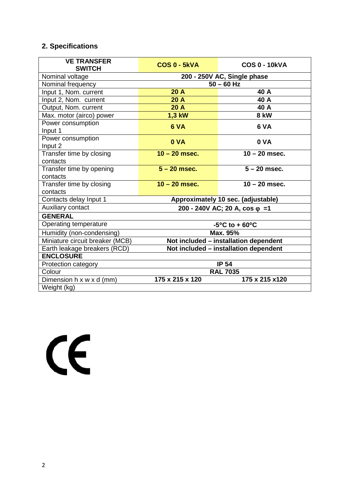# **2. Specifications**

| <b>VE TRANSFER</b><br><b>SWITCH</b>  | COS 0 - 5kVA                          | <b>COS 0 - 10kVA</b> |  |
|--------------------------------------|---------------------------------------|----------------------|--|
| Nominal voltage                      | 200 - 250V AC, Single phase           |                      |  |
| Nominal frequency                    | $50 - 60$ Hz                          |                      |  |
| Input 1, Nom. current                | 20A                                   | 40 A                 |  |
| Input 2, Nom. current                | 20A                                   | 40 A                 |  |
| Output, Nom. current                 | 20A                                   | 40 A                 |  |
| Max. motor (airco) power             | 1,3 kW                                | <b>8 kW</b>          |  |
| Power consumption<br>Input 1         | 6 VA                                  | 6 VA                 |  |
| Power consumption<br>Input 2         | 0 VA                                  | 0 VA                 |  |
| Transfer time by closing<br>contacts | $10 - 20$ msec.                       | $10 - 20$ msec.      |  |
| Transfer time by opening<br>contacts | $5 - 20$ msec.                        | $5 - 20$ msec.       |  |
| Transfer time by closing<br>contacts | $10 - 20$ msec.                       | $10 - 20$ msec.      |  |
| Contacts delay Input 1               | Approximately 10 sec. (adjustable)    |                      |  |
| Auxiliary contact                    | 200 - 240V AC; 20 A, cos $\varphi$ =1 |                      |  |
| <b>GENERAL</b>                       |                                       |                      |  |
| Operating temperature                | $-5^{\circ}$ C to + 60 $^{\circ}$ C   |                      |  |
| Humidity (non-condensing)            | Max. 95%                              |                      |  |
| Miniature circuit breaker (MCB)      | Not included - installation dependent |                      |  |
| Earth leakage breakers (RCD)         | Not included - installation dependent |                      |  |
| <b>ENCLOSURE</b>                     |                                       |                      |  |
| Protection category                  | <b>IP 54</b>                          |                      |  |
| Colour                               | <b>RAL 7035</b>                       |                      |  |
| Dimension h x w x d (mm)             | 175 x 215 x 120                       | 175 x 215 x120       |  |
| Weight (kg)                          |                                       |                      |  |

 $\epsilon$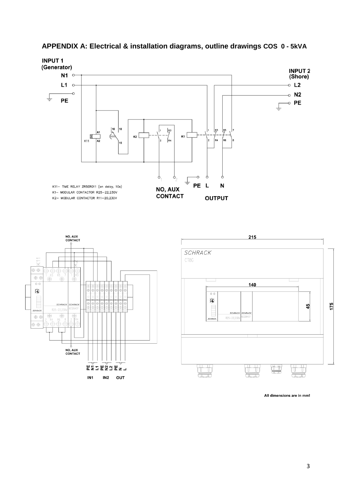

## **APPENDIX A: Electrical & installation diagrams, outline drawings COS 0 - 5kVA**



All dimensions are in mm!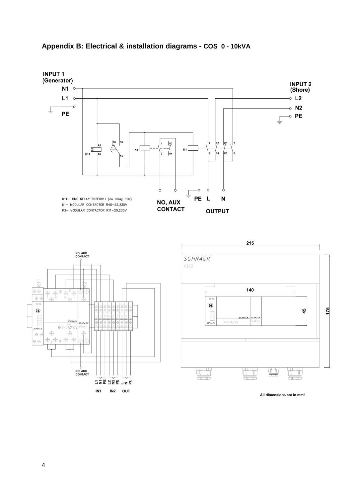![](_page_7_Figure_0.jpeg)

# **Appendix B: Electrical & installation diagrams - COS 0 - 10kVA**

All dimensions are in mm!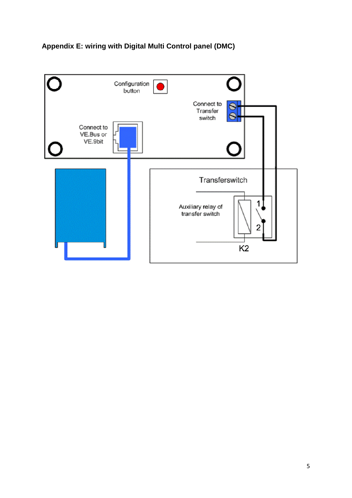![](_page_8_Figure_0.jpeg)

![](_page_8_Figure_1.jpeg)